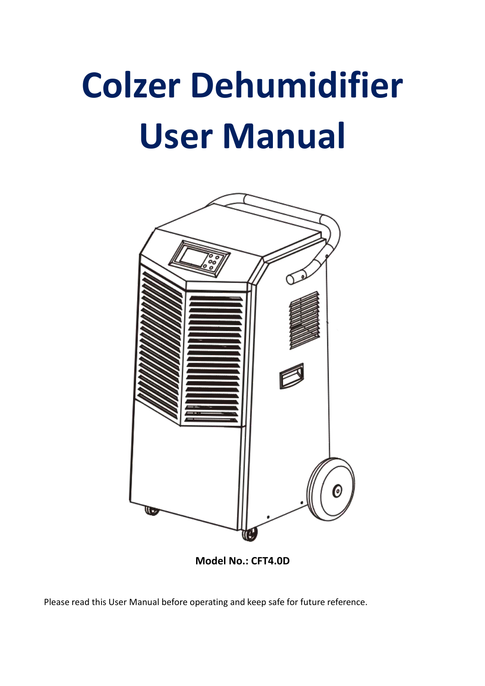# **Colzer Dehumidifier User Manual**



**Model No.: CFT4.0D**

Please read this User Manual before operating and keep safe for future reference.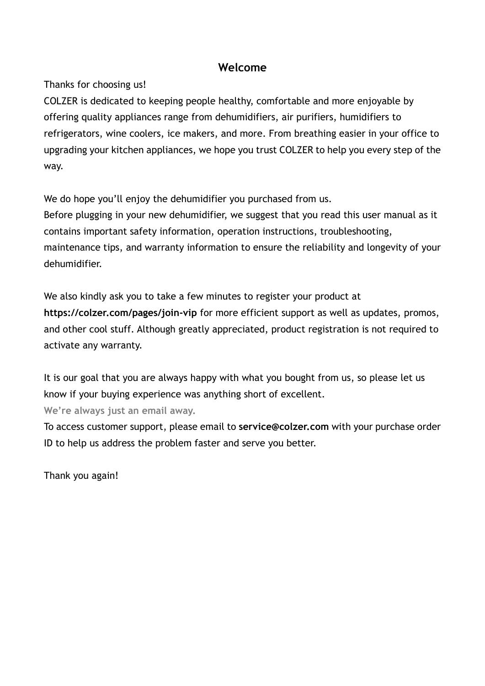## **Welcome**

Thanks for choosing us!

COLZER is dedicated to keeping people healthy, comfortable and more enjoyable by offering quality appliances range from dehumidifiers, air purifiers, humidifiers to refrigerators, wine coolers, ice makers, and more. From breathing easier in your office to upgrading your kitchen appliances, we hope you trust COLZER to help you every step of the way.

We do hope you'll enjoy the dehumidifier you purchased from us.

Before plugging in your new dehumidifier, we suggest that you read this user manual as it contains important safety information, operation instructions, troubleshooting, maintenance tips, and warranty information to ensure the reliability and longevity of your dehumidifier.

We also kindly ask you to take a few minutes to register your product at **https://colzer.com/pages/join-vip** for more efficient support as well as updates, promos, and other cool stuff. Although greatly appreciated, product registration is not required to activate any warranty.

It is our goal that you are always happy with what you bought from us, so please let us know if your buying experience was anything short of excellent.

**We're always just an email away.**

To access customer support, please email to **service@colzer.com** with your purchase order ID to help us address the problem faster and serve you better.

Thank you again!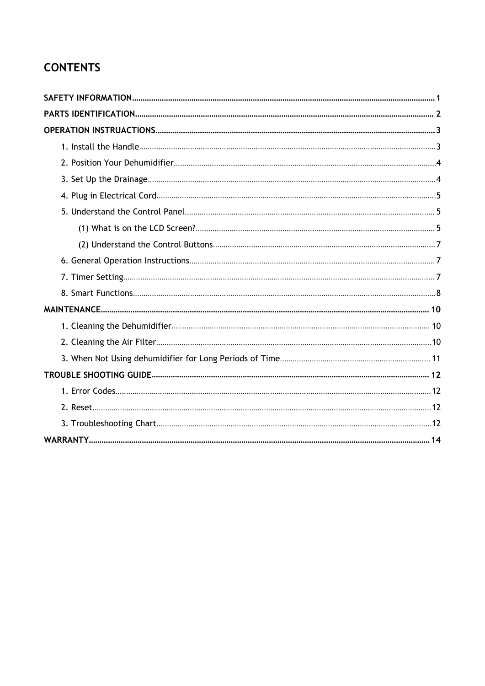# **CONTENTS**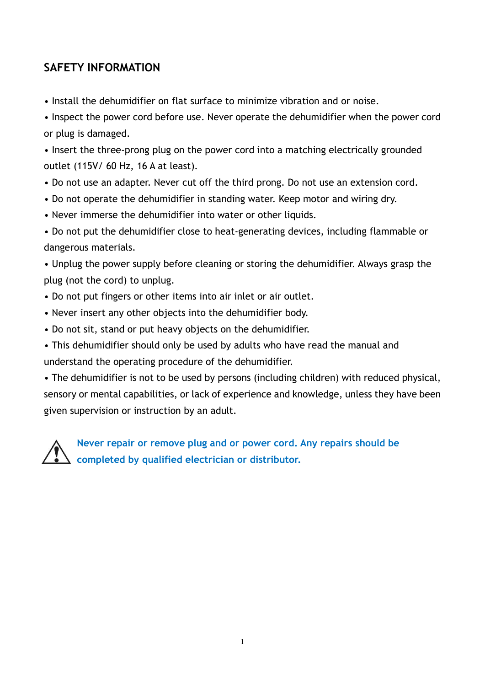# <span id="page-3-0"></span>**SAFETY INFORMATION**

• Install the dehumidifier on flat surface to minimize vibration and or noise.

• Inspect the power cord before use. Never operate the dehumidifier when the power cord or plug is damaged.

• Insert the three-prong plug on the power cord into a matching electrically grounded outlet (115V/ 60 Hz, 16 A at least).

- Do not use an adapter. Never cut off the third prong. Do not use an extension cord.
- Do not operate the dehumidifier in standing water. Keep motor and wiring dry.
- Never immerse the dehumidifier into water or other liquids.

• Do not put the dehumidifier close to heat-generating devices, including flammable or dangerous materials.

• Unplug the power supply before cleaning or storing the dehumidifier. Always grasp the plug (not the cord) to unplug.

- Do not put fingers or other items into air inlet or air outlet.
- Never insert any other objects into the dehumidifier body.
- Do not sit, stand or put heavy objects on the dehumidifier.
- This dehumidifier should only be used by adults who have read the manual and understand the operating procedure of the dehumidifier.

• The dehumidifier is not to be used by persons (including children) with reduced physical, sensory or mental capabilities, or lack of experience and knowledge, unless they have been given supervision or instruction by an adult.

**Never repair or remove plug and or power cord. Any repairs should be completed by qualified electrician or distributor.**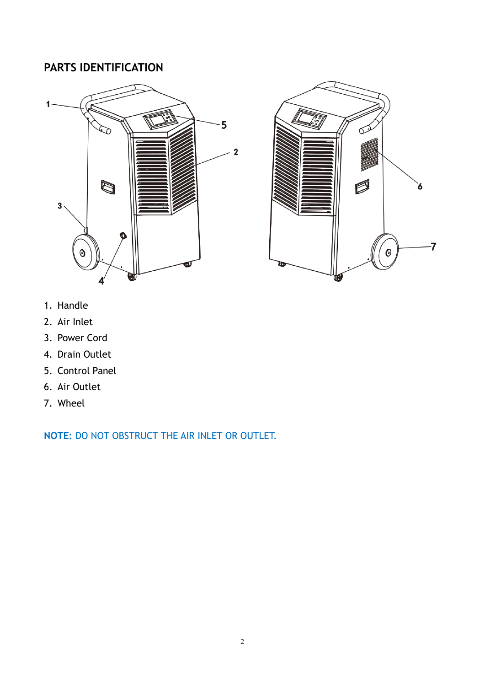# <span id="page-4-0"></span>**PARTS IDENTIFICATION**





- 1. Handle
- 2. Air Inlet
- 3. Power Cord
- 4. Drain Outlet
- 5. Control Panel
- 6. Air Outlet
- 7. Wheel

**NOTE:** DO NOT OBSTRUCT THE AIR INLET OR OUTLET.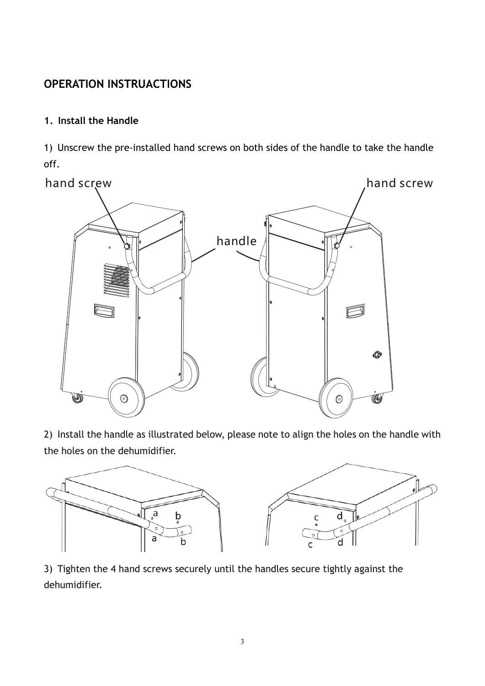# <span id="page-5-0"></span>**OPERATION INSTRUACTIONS**

#### <span id="page-5-1"></span>**1. Install the Handle**

1) Unscrew the pre-installed hand screws on both sides of the handle to take the handle off.



2) Install the handle as illustrated below, please note to align the holes on the handle with the holes on the dehumidifier.



3) Tighten the 4 hand screws securely until the handles secure tightly against the dehumidifier.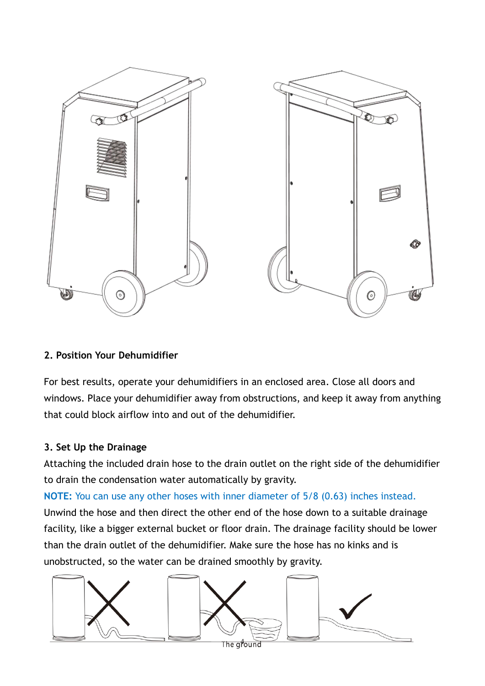

#### <span id="page-6-0"></span>**2. Position Your Dehumidifier**

For best results, operate your dehumidifiers in an enclosed area. Close all doors and windows. Place your dehumidifier away from obstructions, and keep it away from anything that could block airflow into and out of the dehumidifier.

#### <span id="page-6-1"></span>**3. Set Up the Drainage**

Attaching the included drain hose to the drain outlet on the right side of the dehumidifier to drain the condensation water automatically by gravity.

**NOTE:** You can use any other hoses with inner diameter of 5/8 (0.63) inches instead.

Unwind the hose and then direct the other end of the hose down to a suitable drainage facility, like a bigger external bucket or floor drain. The drainage facility should be lower than the drain outlet of the dehumidifier. Make sure the hose has no kinks and is unobstructed, so the water can be drained smoothly by gravity.

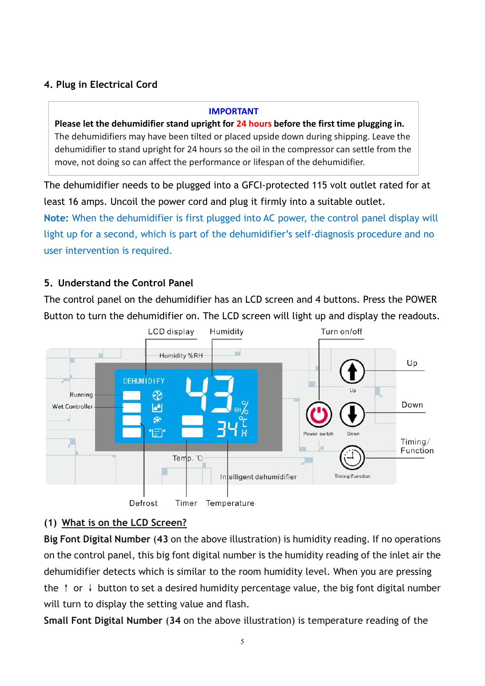# <span id="page-7-0"></span>**4. Plug in Electrical Cord**

#### **IMPORTANT**

**Please let the dehumidifier stand upright for 24 hours before the first time plugging in.** The dehumidifiers may have been tilted or placed upside down during shipping. Leave the dehumidifier to stand upright for 24 hours so the oil in the compressor can settle from the move, not doing so can affect the performance or lifespan of the dehumidifier.

The dehumidifier needs to be plugged into a GFCI-protected 115 volt outlet rated for at least 16 amps. Uncoil the power cord and plug it firmly into a suitable outlet.

**Note:** When the dehumidifier is first plugged into AC power, the control panel display will light up for a second, which is part of the dehumidifier's self-diagnosis procedure and no user intervention is required.

#### <span id="page-7-1"></span>**5. Understand the Control Panel**

The control panel on the dehumidifier has an LCD screen and 4 buttons. Press the POWER Button to turn the dehumidifier on. The LCD screen will light up and display the readouts.



## <span id="page-7-2"></span>**(1) What is on the LCD Screen?**

**Big Font Digital Number** (**43** on the above illustration) is humidity reading. If no operations on the control panel, this big font digital number is the humidity reading of the inlet air the dehumidifier detects which is similar to the room humidity level. When you are pressing the  $\uparrow$  or  $\downarrow$  button to set a desired humidity percentage value, the big font digital number will turn to display the setting value and flash.

**Small Font Digital Number** (**34** on the above illustration) is temperature reading of the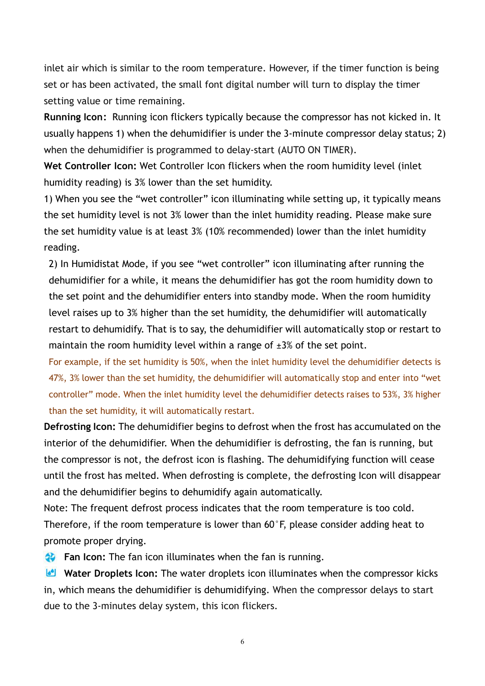inlet air which is similar to the room temperature. However, if the timer function is being set or has been activated, the small font digital number will turn to display the timer setting value or time remaining.

**Running Icon:** Running icon flickers typically because the compressor has not kicked in. It usually happens 1) when the dehumidifier is under the 3-minute compressor delay status; 2) when the dehumidifier is programmed to delay-start (AUTO ON TIMER).

**Wet Controller Icon:** Wet Controller Icon flickers when the room humidity level (inlet humidity reading) is 3% lower than the set humidity.

1) When you see the "wet controller" icon illuminating while setting up, it typically means the set humidity level is not 3% lower than the inlet humidity reading. Please make sure the set humidity value is at least 3% (10% recommended) lower than the inlet humidity reading.

2) In Humidistat Mode, if you see "wet controller" icon illuminating after running the dehumidifier for a while, it means the dehumidifier has got the room humidity down to the set point and the dehumidifier enters into standby mode. When the room humidity level raises up to 3% higher than the set humidity, the dehumidifier will automatically restart to dehumidify. That is to say, the dehumidifier will automatically stop or restart to maintain the room humidity level within a range of  $\pm 3\%$  of the set point.

For example, if the set humidity is 50%, when the inlet humidity level the dehumidifier detects is 47%, 3% lower than the set humidity, the dehumidifier will automatically stop and enter into "wet controller" mode. When the inlet humidity level the dehumidifier detects raises to 53%, 3% higher than the set humidity, it will automatically restart.

**Defrosting Icon:**The dehumidifier begins to defrost when the frost has accumulated on the interior of the dehumidifier. When the dehumidifier is defrosting, the fan is running, but the compressor is not, the defrost icon is flashing. The dehumidifying function will cease until the frost has melted. When defrosting is complete, the defrosting Icon will disappear and the dehumidifier begins to dehumidify again automatically.

Note: The frequent defrost process indicates that the room temperature is too cold. Therefore, if the room temperature is lower than 60°F, please consider adding heat to promote proper drying.

**Fan Icon:** The fan icon illuminates when the fan is running.

**Water Droplets Icon:** The water droplets icon illuminates when the compressor kicks in, which means the dehumidifier is dehumidifying. When the compressor delays to start due to the 3-minutes delay system, this icon flickers.

6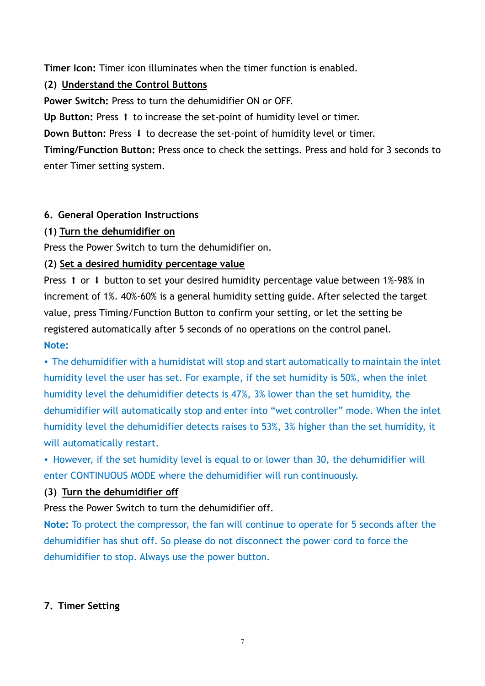**Timer Icon:** Timer icon illuminates when the timer function is enabled.

#### <span id="page-9-0"></span>**(2) Understand the Control Buttons**

**Power Switch:** Press to turn the dehumidifier ON or OFF.

Up Button: Press 1 to increase the set-point of humidity level or timer.

**Down Button:** Press  $\downarrow$  to decrease the set-point of humidity level or timer.

**Timing/Function Button:** Press once to check the settings. Press and hold for 3 seconds to enter Timer setting system.

#### <span id="page-9-1"></span>**6. General Operation Instructions**

#### **(1) Turn the dehumidifier on**

Press the Power Switch to turn the dehumidifier on.

#### **(2) Set a desired humidity percentage value**

Press  $\uparrow$  or  $\downarrow$  button to set your desired humidity percentage value between 1%-98% in increment of 1%. 40%-60% is a general humidity setting guide. After selected the target value, press Timing/Function Button to confirm your setting, or let the setting be registered automatically after 5 seconds of no operations on the control panel. **Note:**

**·** The dehumidifier with a humidistat will stop and start automatically to maintain the inlet humidity level the user has set. For example, if the set humidity is 50%, when the inlet humidity level the dehumidifier detects is 47%, 3% lower than the set humidity, the dehumidifier will automatically stop and enter into "wet controller" mode. When the inlet humidity level the dehumidifier detects raises to 53%, 3% higher than the set humidity, it will automatically restart.

**·** However, if the set humidity level is equal to or lower than 30, the dehumidifier will enter CONTINUOUS MODE where the dehumidifier will run continuously.

## **(3) Turn the dehumidifier off**

Press the Power Switch to turn the dehumidifier off.

**Note:** To protect the compressor, the fan will continue to operate for 5 seconds after the dehumidifier has shut off. So please do not disconnect the power cord to force the dehumidifier to stop. Always use the power button.

## <span id="page-9-2"></span>**7. Timer Setting**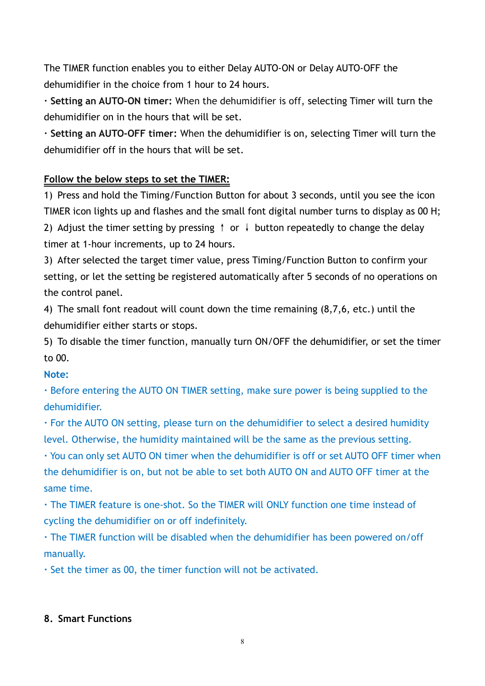The TIMER function enables you to either Delay AUTO-ON or Delay AUTO-OFF the dehumidifier in the choice from 1 hour to 24 hours.

**· Setting an AUTO-ON timer:** When the dehumidifier is off, selecting Timer will turn the dehumidifier on in the hours that will be set.

**· Setting an AUTO-OFF timer:** When the dehumidifier is on, selecting Timer will turn the dehumidifier off in the hours that will be set.

# **Follow the below steps to set the TIMER:**

1) Press and hold the Timing/Function Button for about 3 seconds, until you see the icon TIMER icon lights up and flashes and the small font digital number turns to display as 00 H; 2) Adjust the timer setting by pressing  $\uparrow$  or  $\downarrow$  button repeatedly to change the delay timer at 1-hour increments, up to 24 hours.

3) After selected the target timer value, press Timing/Function Button to confirm your setting, or let the setting be registered automatically after 5 seconds of no operations on the control panel.

4) The small font readout will count down the time remaining (8,7,6, etc.) until the dehumidifier either starts or stops.

5) To disable the timer function, manually turn ON/OFF the dehumidifier, or set the timer to 00.

## **Note:**

**·** Before entering the AUTO ON TIMER setting, make sure power is being supplied to the dehumidifier.

**·** For the AUTO ON setting, please turn on the dehumidifier to select a desired humidity level. Otherwise, the humidity maintained will be the same as the previous setting.

**·** You can only set AUTO ON timer when the dehumidifier is off or set AUTO OFF timer when the dehumidifier is on, but not be able to set both AUTO ON and AUTO OFF timer at the same time.

**·** The TIMER feature is one-shot. So the TIMER will ONLY function one time instead of cycling the dehumidifier on or off indefinitely.

**·** The TIMER function will be disabled when the dehumidifier has been powered on/off manually.

**·** Set the timer as 00, the timer function will not be activated.

## <span id="page-10-0"></span>**8. Smart Functions**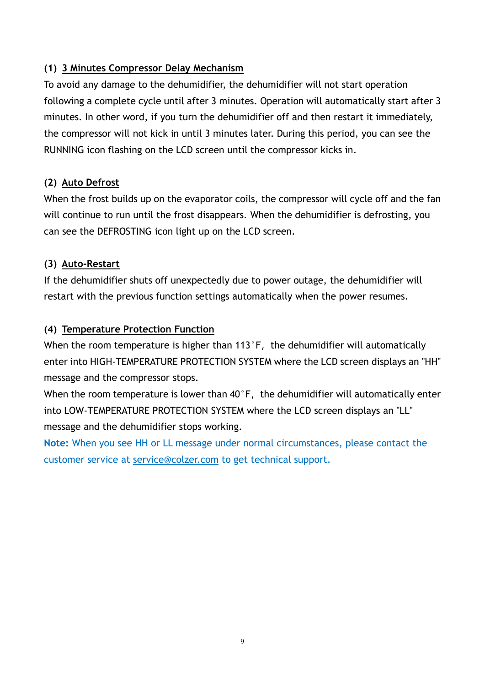## **(1) 3 Minutes Compressor Delay Mechanism**

To avoid any damage to the dehumidifier, the dehumidifier will not start operation following a complete cycle until after 3 minutes. Operation will automatically start after 3 minutes. In other word, if you turn the dehumidifier off and then restart it immediately, the compressor will not kick in until 3 minutes later. During this period, you can see the RUNNING icon flashing on the LCD screen until the compressor kicks in.

#### **(2) Auto Defrost**

When the frost builds up on the evaporator coils, the compressor will cycle off and the fan will continue to run until the frost disappears. When the dehumidifier is defrosting, you can see the DEFROSTING icon light up on the LCD screen.

#### **(3) Auto-Restart**

If the dehumidifier shuts off unexpectedly due to power outage, the dehumidifier will restart with the previous function settings automatically when the power resumes.

#### **(4) Temperature Protection Function**

When the room temperature is higher than  $113\textdegree F$ , the dehumidifier will automatically enter into HIGH-TEMPERATURE PROTECTION SYSTEM where the LCD screen displays an "HH" message and the compressor stops.

When the room temperature is lower than  $40^{\circ}$  F, the dehumidifier will automatically enter into LOW-TEMPERATURE PROTECTION SYSTEM where the LCD screen displays an "LL" message and the dehumidifier stops working.

**Note:** When you see HH or LL message under normal circumstances, please contact the customer service at [service@colzer.com](mailto:service@colzer.com) to get technical support.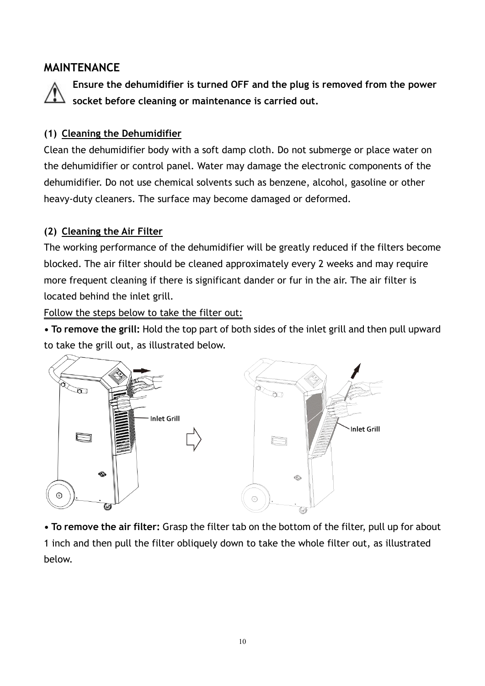# <span id="page-12-0"></span>**MAINTENANCE**



**Ensure the dehumidifier is turned OFF and the plug is removed from the power socket before cleaning or maintenance is carried out.**

#### <span id="page-12-1"></span>**(1) Cleaning the Dehumidifier**

Clean the dehumidifier body with a soft damp cloth. Do not submerge or place water on the dehumidifier or control panel. Water may damage the electronic components of the dehumidifier. Do not use chemical solvents such as benzene, alcohol, gasoline or other heavy-duty cleaners. The surface may become damaged or deformed.

## <span id="page-12-2"></span>**(2) Cleaning the Air Filter**

The working performance of the dehumidifier will be greatly reduced if the filters become blocked. The air filter should be cleaned approximately every 2 weeks and may require more frequent cleaning if there is significant dander or fur in the air. The air filter is located behind the inlet grill.

Follow the steps below to take the filter out:

**• To remove the grill:** Hold the top part of both sides of the inlet grill and then pull upward to take the grill out, as illustrated below.



**• To remove the air filter:** Grasp the filter tab on the bottom of the filter, pullup for about 1 inch and then pull the filter obliquely down to take the whole filter out, as illustrated below.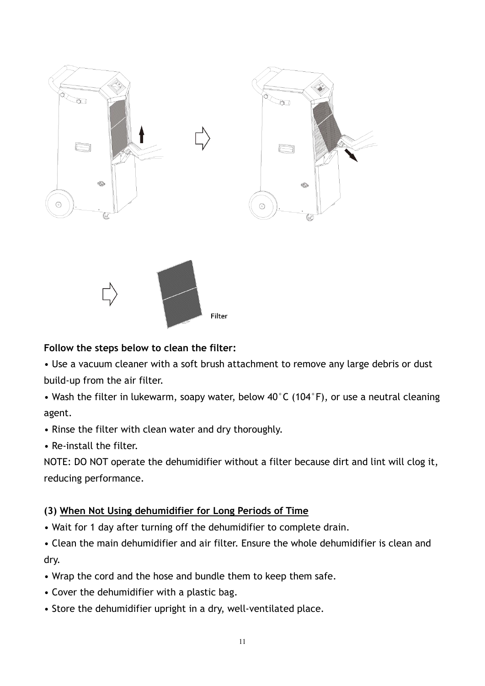



## **Follow the steps below to clean the filter:**

• Use a vacuum cleaner with a soft brush attachment to remove any large debris or dust build-up from the air filter.

• Wash the filter in lukewarm, soapy water, below 40°C (104°F), or use a neutral cleaning agent.

- Rinse the filter with clean water and dry thoroughly.
- Re-install the filter.

NOTE: DO NOT operate the dehumidifier without a filter because dirt and lint will clog it, reducing performance.

## <span id="page-13-0"></span>**(3) When Not Using dehumidifier for Long Periods of Time**

• Wait for 1 day after turning off the dehumidifier to complete drain.

• Clean the main dehumidifier and air filter. Ensure the whole dehumidifier is clean and dry.

- Wrap the cord and the hose and bundle them to keep them safe.<br>• Cover the dehumidifier with a plastic bag.
- 
- Store the dehumidifier upright in a dry, well-ventilated place.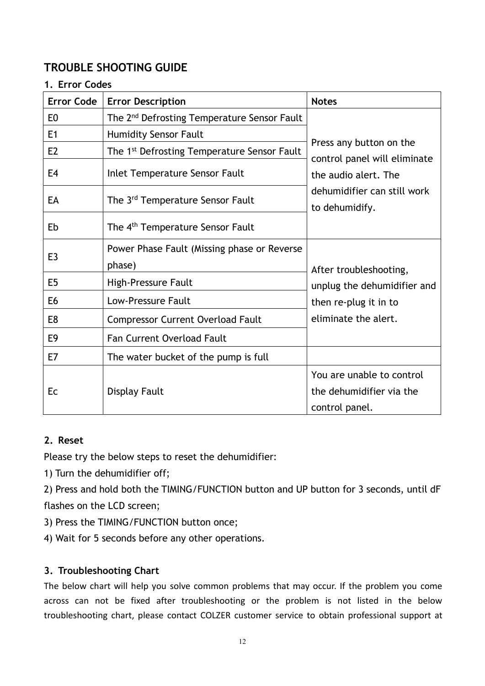# <span id="page-14-0"></span>**TROUBLE SHOOTING GUIDE**

#### <span id="page-14-1"></span>**1. Error Codes**

| <b>Error Code</b> | <b>Error Description</b>                                | <b>Notes</b>                                                                                                                     |
|-------------------|---------------------------------------------------------|----------------------------------------------------------------------------------------------------------------------------------|
| E <sub>0</sub>    | The 2 <sup>nd</sup> Defrosting Temperature Sensor Fault | Press any button on the<br>control panel will eliminate<br>the audio alert. The<br>dehumidifier can still work<br>to dehumidify. |
| E <sub>1</sub>    | <b>Humidity Sensor Fault</b>                            |                                                                                                                                  |
| E <sub>2</sub>    | The 1 <sup>st</sup> Defrosting Temperature Sensor Fault |                                                                                                                                  |
| E4                | Inlet Temperature Sensor Fault                          |                                                                                                                                  |
| EA                | The 3 <sup>rd</sup> Temperature Sensor Fault            |                                                                                                                                  |
| Eb                | The 4 <sup>th</sup> Temperature Sensor Fault            |                                                                                                                                  |
| E <sub>3</sub>    | Power Phase Fault (Missing phase or Reverse<br>phase)   | After troubleshooting,<br>unplug the dehumidifier and                                                                            |
| E <sub>5</sub>    | High-Pressure Fault                                     |                                                                                                                                  |
| E <sub>6</sub>    | Low-Pressure Fault                                      | then re-plug it in to                                                                                                            |
| E8                | <b>Compressor Current Overload Fault</b>                | eliminate the alert.                                                                                                             |
| E <sub>9</sub>    | <b>Fan Current Overload Fault</b>                       |                                                                                                                                  |
| E7                | The water bucket of the pump is full                    |                                                                                                                                  |
| Ec                | Display Fault                                           | You are unable to control<br>the dehumidifier via the<br>control panel.                                                          |

#### <span id="page-14-2"></span>**2. Reset**

Please try the below steps to reset the dehumidifier:

1) Turn the dehumidifier off;

2) Press and hold both the TIMING/FUNCTION button and UP button for 3 seconds, until dF flashes on the LCD screen;

- 3) Press the TIMING/FUNCTION button once;
- 4) Wait for 5 seconds before any other operations.

#### <span id="page-14-3"></span>**3. Troubleshooting Chart**

The below chart will help you solve common problems that may occur. If the problem you come across can not be fixed after troubleshooting or the problem is not listed in the below troubleshooting chart, please contact COLZER customer service to obtain professional support at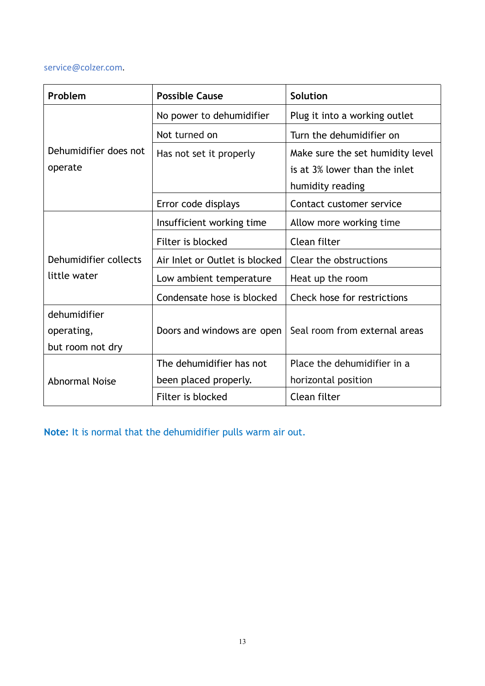#### service@colzer.com.

| Problem               | <b>Possible Cause</b>          | Solution                         |
|-----------------------|--------------------------------|----------------------------------|
|                       | No power to dehumidifier       | Plug it into a working outlet    |
|                       | Not turned on                  | Turn the dehumidifier on         |
| Dehumidifier does not | Has not set it properly        | Make sure the set humidity level |
| operate               |                                | is at 3% lower than the inlet    |
|                       |                                | humidity reading                 |
|                       | Error code displays            | Contact customer service         |
|                       | Insufficient working time      | Allow more working time          |
|                       | Filter is blocked              | Clean filter                     |
| Dehumidifier collects | Air Inlet or Outlet is blocked | Clear the obstructions           |
| little water          | Low ambient temperature        | Heat up the room                 |
|                       | Condensate hose is blocked     | Check hose for restrictions      |
| dehumidifier          |                                |                                  |
| operating,            | Doors and windows are open     | Seal room from external areas    |
| but room not dry      |                                |                                  |
|                       | The dehumidifier has not       | Place the dehumidifier in a      |
| <b>Abnormal Noise</b> | been placed properly.          | horizontal position              |
|                       | Filter is blocked              | Clean filter                     |

**Note:** It is normal that the dehumidifier pulls warm air out.